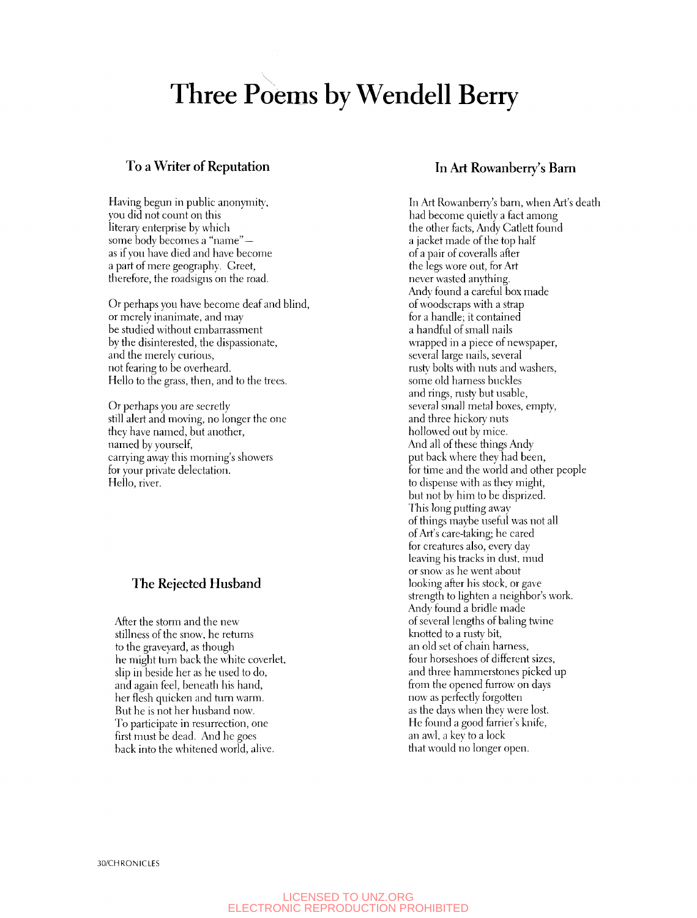# Three Poems by Wendell Berry

### To a Writer of Reputation In Art Rowanberry's Barn

Having begun in public anonymity, you did not count on this literary enterprise by which some body becomes a "name" as if you have died and have become a part of mere geography. Greet, therefore, the roadsigns on the road.

Or perhaps you have become deaf and blind, or merely inanimate, and may be studied without embarrassment by the disinterested, the dispassionate, and the merely curious, not fearing to be overheard. Hello to the grass, then, and to the trees.

Or perhaps you are secretly still alert and moving, no longer the one they have named, but another, named by yourself, carrying away this morning's showers for your private delectation. Hello, river.

## The Rejected Husband

After the storm and the new stillness of the snow, he returns to the graveyard, as though he might turn back the white coverlet, slip in beside her as he used to do, and again feel, beneath his hand, her flesh quicken and turn warm. But he is not her husband now. To participate in resurrection, one first must be dead. And he goes back into the whitened world, alive.

In Art Rowanberry's barn, when Art's death had become quietly a fact among the other facts, Andy Catlett found a jacket made of the top half of a pair of coveralls after the legs wore out, for Art never wasted anything. Andy found a careful box made of woodscraps with a strap for a handle; it contained a handful of small nails wrapped in a piece of newspaper, several large nails, several rusty bolts with nuts and washers, some old harness buckles and rings, rusty but usable, several small metal boxes, empty, and three hickory nuts hollowed out by mice. And all of these things Andy put back where they had been, for time and the world and other people to dispense with as they might, but not bv him to be disprized. This long putting away of things maybe useful was not all of Art's care-taking; he cared for creatures also, every day leaving his tracks in dust, mud or snow as he went about looking after his stock, or gave strength to lighten a neighbor's work. Andy found a bridle made of several lengths of baling twine knotted to a rusty bit, an old set of chain harness, four horseshoes of different sizes, and three hammerstones picked up from the opened furrow on days now as perfectly forgotten as the days when they were lost. He found a good farrier's knife, an awl, a kev to a lock that would no longer open.